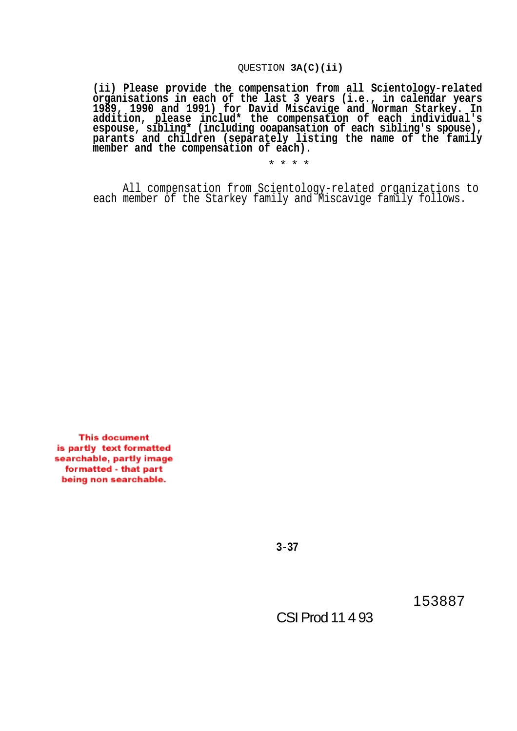## QUESTION **3A(C)(ii)**

**(ii) Please provide the compensation from all Scientology-related organisations in each of the last 3 years (i.e., in calendar years 1989, 1990 and 1991) for David Miscavige and Norman Starkey. In addition, please includ\* the compensation of each individual's espouse, sibling\* (including ooapansation of each sibling's spouse), parants and children (separately listing the name of the family member and the compensation of each).**

\* \* \* \*

All compensation from Scientology-related organizations to each member of the Starkey family and Miscavige family follows.

**This document** is partly text formatted searchable, partly image formatted - that part being non searchable.

**3-37**

153887

CSI Prod 11 4 93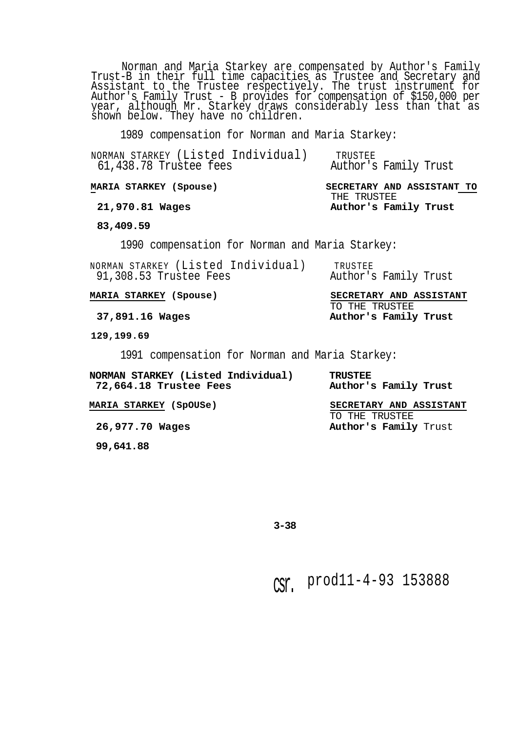Norman and Maria Starkey are compensated by Author's Family Trust-B in their full time capacities as Trustee and Secretary and Assistant to the Trustee respectively. The trust instrument for Author's Family Trust - B provides for compensation of \$150,000 per year, although Mr. Starkey draws considerably less than that as shown below. They have no children.

1989 compensation for Norman and Maria Starkey:

| NORMAN STARKEY (Listed Individual)<br>61,438.78 Trustee fees | TRUSTEE<br>Author's Family Trust          |  |
|--------------------------------------------------------------|-------------------------------------------|--|
| MARIA STARKEY (Spouse)                                       | SECRETARY AND ASSISTANT TO<br>THE TRUSTEE |  |
| 21,970.81 Wages                                              | Author's Family Trust                     |  |
| 83,409.59                                                    |                                           |  |
| 1990 compensation for Norman and Maria Starkey:              |                                           |  |
| NORMAN STARKEY (Listed Individual)<br>91,308.53 Trustee Fees | TRUSTEE<br>Author's Family Trust          |  |
| MARIA STARKEY (Spouse)                                       | SECRETARY AND ASSISTANT                   |  |
| 37,891.16 Wages                                              | TO THE TRUSTEE<br>Author's Family Trust   |  |
| 129,199.69                                                   |                                           |  |
| 1991 compensation for Norman and Maria Starkey:              |                                           |  |
| NORMAN STARKEY (Listed Individual)<br>72,664.18 Trustee Fees | <b>TRUSTEE</b><br>Author's Family Trust   |  |
| <b>MARIA STARKEY (SpOUSe)</b>                                | SECRETARY AND ASSISTANT<br>TO THE TRUSTEE |  |

26,977.70 Wages **Author's Family** Trust

**99,641.88**

**3-38**

csr. prod11-4-93 153888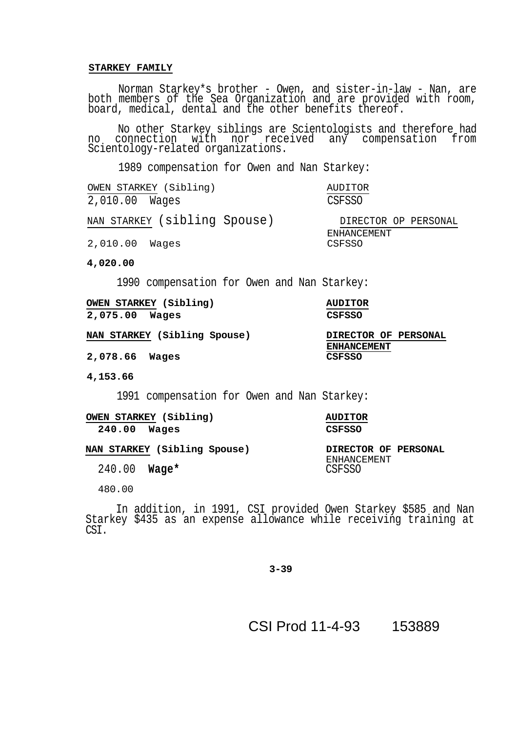## **STARKEY FAMILY**

Norman Starkey\*s brother - Owen, and sister-in-law - Nan, are both members of the Sea Organization and are provided with room, board, medical, dental and the other benefits thereof.

No other Starkey siblings are Scientologists and therefore had no connection with nor received any compensation from Scientology-related organizations.

1989 compensation for Owen and Nan Starkey:

| OWEN STARKEY (Sibling)       | AUDITOR               |
|------------------------------|-----------------------|
| 2,010.00 Wages               | <b>CSFSSO</b>         |
| NAN STARKEY (sibling Spouse) | DIRECTOR OP PERSONAL  |
| 2,010.00 Wages               | ENHANCEMENT<br>CSFSSO |

**4,020.00**

1990 compensation for Owen and Nan Starkey:

|                | <b>OWEN STARKEY (Sibling)</b> | <b>AUDITOR</b> |
|----------------|-------------------------------|----------------|
| 2,075.00 Wages |                               | CSFSSO         |

**NAN STARKEY (Sibling Spouse) DIRECTOR OF PERSONAL**

2,078.66 Wages

**4,153.66**

1991 compensation for Owen and Nan Starkey:

**OWEN STARKEY (Sibling) AUDITOR 240.00 Wages CSFSSO**

ENHANCEMENT<br>CSFSSO

**ENHANCEMENT**

**NAN STARKEY (Sibling Spouse) DIRECTOR OF PERSONAL**

240.00 **Wage\*** 

480.00

In addition, in 1991, CSI provided Owen Starkey \$585 and Nan Starkey \$435 as an expense allowance while receiving training at CS<sub>I</sub>.

**3-39**

CSI Prod 11-4-93 153889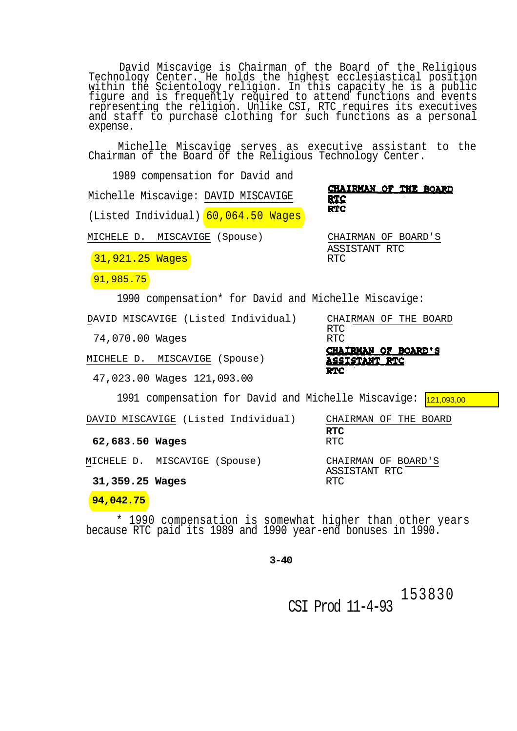David Miscavige is Chairman of the Board of the Religious Technology Center. He holds the highest ecclesiastical position within the Scientology religion. In this capacity he is a public figure and is frequently required to attend functions and events representing the religion. Unlike CSI, RTC requires its executives and staff to purchase clothing for such functions as a personal expense.

Michelle Miscavige serves as executive assistant to the Chairman of the Board of the Religious Technology Center.

1989 compensation for David and CHAIRMAN OF THE BOARD Michelle Miscavige: DAVID MISCAVIGE RTC **RTC** (Listed Individual) 60,064.50 Wages MICHELE D. MISCAVIGE (Spouse) CHAIRMAN OF BOARD'S ASSISTANT RTC 31,921.25 Wages 91,985.75 1990 compensation\* for David and Michelle Miscavige: DAVID MISCAVIGE (Listed Individual) CHAIRMAN OF THE BOARD RTC<br>RTC 74,070.00 Wages CHAIRMAN OF BOARD'S MICHELE D. MISCAVIGE (Spouse) <u>ASSISTANT RTC</u> **RTC** 47,023.00 Wages 121,093.00 1991 compensation for David and Michelle Miscavige: <mark>121,093,00</mark> DAVID MISCAVIGE (Listed Individual) CHAIRMAN OF THE BOARD **RTC**

62,683.50 Wages

MICHELE D. MISCAVIGE (Spouse) CHAIRMAN OF BOARD'S

31,359.25 Wages

## **94,042.75**

\* 1990 compensation is somewhat higher than other years because RTC paid its 1989 and 1990 year-end bonuses in 1990.

**3-40**

153830 CSI Prod 11-4-93

ASSISTANT RTC<br>RTC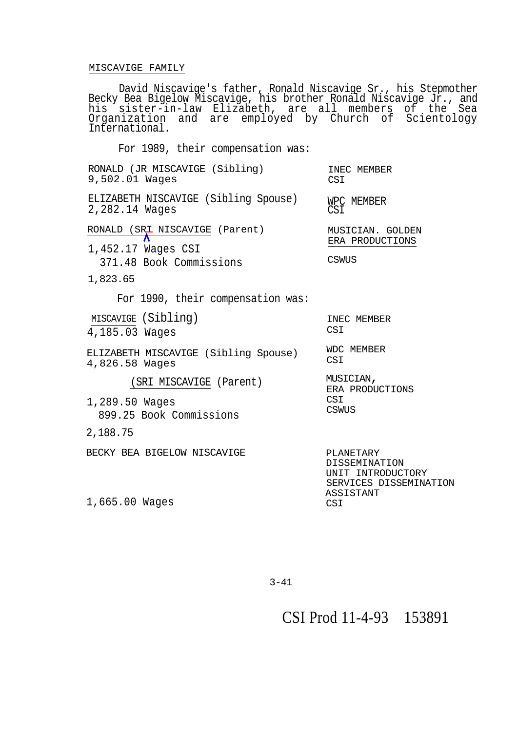## MISCAVIGE FAMILY

David Niscavige's father, Ronald Niscavige Sr., his Stepmother Becky Bea Bigelow Miscavige, his brother Ronald Niscavige Jr., and his sister-in-law Elizabeth, are all members of the Sea Organization and are employed by Church of Scientology International.

For 1989, their compensation was:

| RONALD (JR MISCAVIGE (Sibling)<br>9,502.01 Wages                        | INEC MEMBER<br>CSI                                                               |
|-------------------------------------------------------------------------|----------------------------------------------------------------------------------|
| ELIZABETH NISCAVIGE (Sibling Spouse)<br>2,282.14 Wages                  | WPC MEMBER<br>CSI                                                                |
| $\frac{RONALD (SRL NISCAVIGE (Parent))}{\Lambda}$<br>1,452.17 Wages CSI | MUSICIAN. GOLDEN<br>ERA PRODUCTIONS                                              |
| 371.48 Book Commissions                                                 | CSWUS                                                                            |
| 1,823.65                                                                |                                                                                  |
| For 1990, their compensation was:                                       |                                                                                  |
| MISCAVIGE (Sibling)<br>4,185.03 Wages                                   | INEC MEMBER<br>CSI                                                               |
| ELIZABETH MISCAVIGE (Sibling Spouse)<br>4,826.58 Wages                  | <b>WDC MEMBER</b><br>CSI                                                         |
| (SRI MISCAVIGE (Parent)                                                 | MUSICIAN,<br>ERA PRODUCTIONS                                                     |
| 1,289.50 Wages<br>899.25 Book Commissions                               | CSI<br>CSWUS                                                                     |
| 2,188.75                                                                |                                                                                  |
| BECKY BEA BIGELOW NISCAVIGE                                             | PLANETARY<br><b>DISSEMINATION</b><br>UNIT INTRODUCTORY<br>SERVICES DISSEMINATION |
| 1,665.00 Wages                                                          | ASSISTANT<br>CSI                                                                 |
|                                                                         |                                                                                  |

3-41

CSI Prod 11-4-93 153891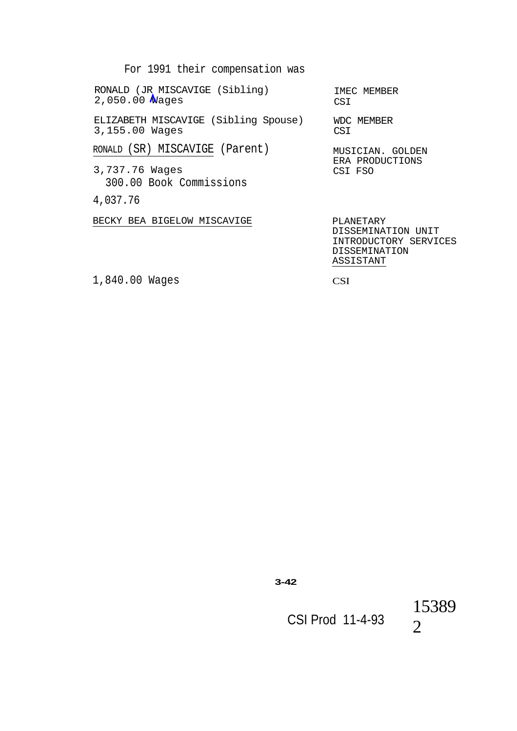For 1991 their compensation was

RONALD (JR MISCAVIGE (Sibling) 2,050.00 Wages ELIZABETH MISCAVIGE (Sibling Spouse) 3,155.00 Wages RONALD (SR) MISCAVIGE (Parent) 3,737.76 Wages 300.00 Book Commissions IMEC MEMBER CSI WDC MEMBER CSI MUSICIAN. GOLDEN ERA PRODUCTIONS CSI FSO 4,037.76 BECKY BEA BIGELOW MISCAVIGE PLANETARY DISSEMINATION UNIT INTRODUCTORY SERVICES DISSEMINATION ASSISTANT

1,840.00 Wages

CSI

**3-42**

CSI Prod 11-4-93

15389 2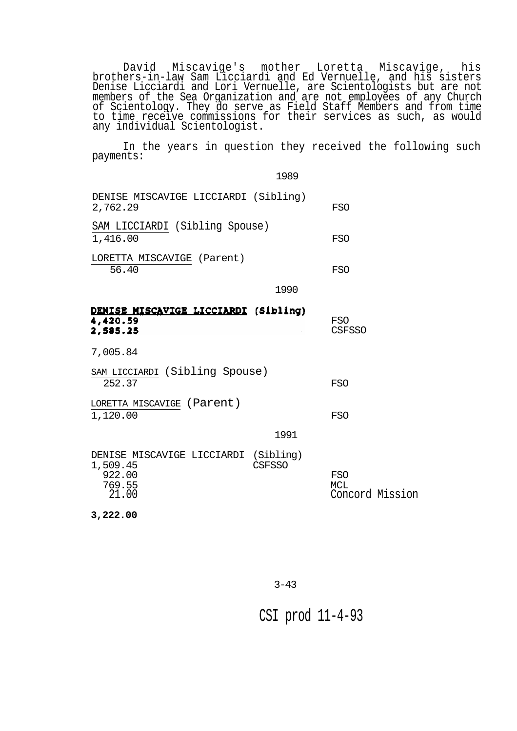David Miscavige's mother Loretta Miscavige, his brothers-in-law Sam Licciardi and Ed Vernuelle, and his sisters Denise Licciardi and Lori Vernuelle, are Scientologists but are not members of the Sea Organization and are not employees of any Church of Scientology. They do serve as Field Staff Members and from time to time receive commissions for their services as such, as would any individual Scientologist.

In the years in question they received the following such payments:

1989

| DENISE MISCAVIGE LICCIARDI (Sibling)<br>2,762.29                              |               | FSO                                         |
|-------------------------------------------------------------------------------|---------------|---------------------------------------------|
| SAM LICCIARDI (Sibling Spouse)<br>1,416.00                                    |               | <b>FSO</b>                                  |
| LORETTA MISCAVIGE (Parent)<br>56.40                                           |               | FSO                                         |
|                                                                               | 1990          |                                             |
| DENISE MISCAVIGE LICCIARDI (Sibling)<br>4,420.59<br>2,585.25                  |               | <b>FSO</b><br><b>CSFSSO</b>                 |
| 7,005.84                                                                      |               |                                             |
| SAM LICCIARDI (Sibling Spouse)<br>252.37                                      |               | <b>FSO</b>                                  |
| LORETTA MISCAVIGE (Parent)<br>1,120.00                                        |               | <b>FSO</b>                                  |
|                                                                               | 1991          |                                             |
| DENISE MISCAVIGE LICCIARDI (Sibling)<br>1,509.45<br>922.00<br>769.55<br>21.00 | <b>CSFSSO</b> | <b>FSO</b><br><b>MCL</b><br>Concord Mission |
| 3,222.00                                                                      |               |                                             |

CSI prod 11-4-93